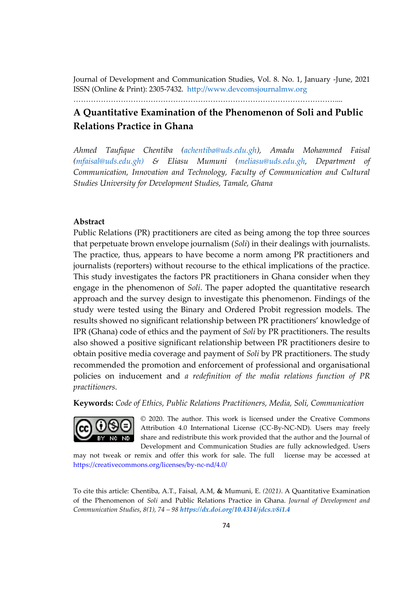Journal of Development and Communication Studies, Vol. 8. No. 1, January -June, 2021 ISSN (Online & Print): 2305-7432. http://www.devcomsjournalmw.org

……………………………………………………………………………………………....

# **A Quantitative Examination of the Phenomenon of Soli and Public Relations Practice in Ghana**

*Ahmed Taufique Chentiba (achentiba@uds.edu.gh), Amadu Mohammed Faisal (mfaisal@uds.edu.gh) & Eliasu Mumuni (meliasu@uds.edu.gh, Department of Communication, Innovation and Technology, Faculty of Communication and Cultural Studies University for Development Studies, Tamale, Ghana*

## **Abstract**

Public Relations (PR) practitioners are cited as being among the top three sources that perpetuate brown envelope journalism (*Soli*) in their dealings with journalists. The practice, thus, appears to have become a norm among PR practitioners and journalists (reporters) without recourse to the ethical implications of the practice. This study investigates the factors PR practitioners in Ghana consider when they engage in the phenomenon of *Soli*. The paper adopted the quantitative research approach and the survey design to investigate this phenomenon. Findings of the study were tested using the Binary and Ordered Probit regression models. The results showed no significant relationship between PR practitioners' knowledge of IPR (Ghana) code of ethics and the payment of *Soli* by PR practitioners. The results also showed a positive significant relationship between PR practitioners desire to obtain positive media coverage and payment of *Soli* by PR practitioners. The study recommended the promotion and enforcement of professional and organisational policies on inducement and *a redefinition of the media relations function of PR practitioners.*

**Keywords:** *Code of Ethics, Public Relations Practitioners, Media, Soli, Communication*



© 2020. The author. This work is licensed under the Creative Commons Attribution 4.0 International License (CC-By-NC-ND). Users may freely share and redistribute this work provided that the author and the Journal of Development and Communication Studies are fully acknowledged. Users

may not tweak or remix and offer this work for sale. The full license may be accessed at https://creativecommons.org/licenses/by-nc-nd/4.0/

To cite this article: Chentiba, A.T., Faisal, A.M, **&** Mumuni, E. *(2021)*. A Quantitative Examination of the Phenomenon of *Soli* and Public Relations Practice in Ghana. *Journal of Development and Communication Studies*, *8(1), 74 – 98 https://dx.doi.org/10.4314/jdcs.v8i1.4*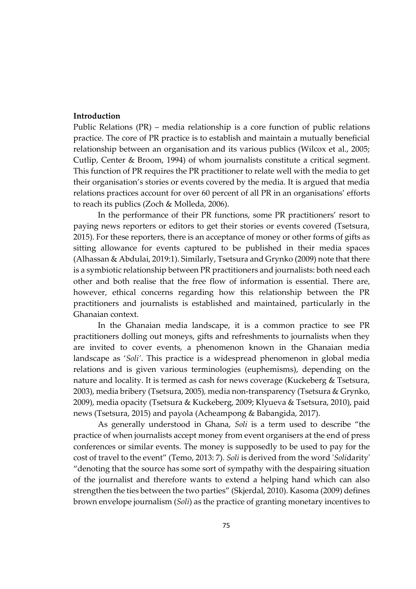#### **Introduction**

Public Relations (PR) – media relationship is a core function of public relations practice. The core of PR practice is to establish and maintain a mutually beneficial relationship between an organisation and its various publics (Wilcox et al., 2005; Cutlip, Center & Broom, 1994) of whom journalists constitute a critical segment. This function of PR requires the PR practitioner to relate well with the media to get their organisation's stories or events covered by the media. It is argued that media relations practices account for over 60 percent of all PR in an organisations' efforts to reach its publics (Zoch & Molleda, 2006).

In the performance of their PR functions, some PR practitioners' resort to paying news reporters or editors to get their stories or events covered (Tsetsura, 2015). For these reporters, there is an acceptance of money or other forms of gifts as sitting allowance for events captured to be published in their media spaces (Alhassan & Abdulai, 2019:1). Similarly, Tsetsura and Grynko (2009) note that there is a symbiotic relationship between PR practitioners and journalists: both need each other and both realise that the free flow of information is essential. There are, however, ethical concerns regarding how this relationship between the PR practitioners and journalists is established and maintained, particularly in the Ghanaian context.

In the Ghanaian media landscape, it is a common practice to see PR practitioners dolling out moneys, gifts and refreshments to journalists when they are invited to cover events, a phenomenon known in the Ghanaian media landscape as '*Soli'*. This practice is a widespread phenomenon in global media relations and is given various terminologies (euphemisms), depending on the nature and locality. It is termed as cash for news coverage (Kuckeberg & Tsetsura, 2003), media bribery (Tsetsura, 2005)*,* media non-transparency (Tsetsura & Grynko, 2009), media opacity (Tsetsura & Kuckeberg, 2009; Klyueva & Tsetsura, 2010), paid news (Tsetsura, 2015) and payola (Acheampong & Babangida, 2017).

As generally understood in Ghana, *Soli* is a term used to describe "the practice of when journalists accept money from event organisers at the end of press conferences or similar events. The money is supposedly to be used to pay for the cost of travel to the event" (Temo, 2013: 7). *Soli* is derived from the word '*Soli*darity' "denoting that the source has some sort of sympathy with the despairing situation of the journalist and therefore wants to extend a helping hand which can also strengthen the ties between the two parties" (Skjerdal, 2010). Kasoma (2009) defines brown envelope journalism (*Soli*) as the practice of granting monetary incentives to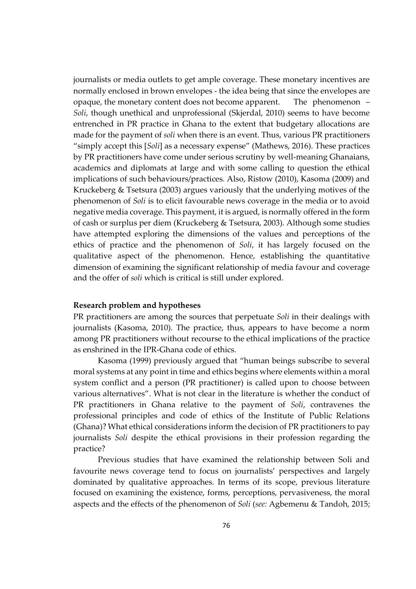journalists or media outlets to get ample coverage. These monetary incentives are normally enclosed in brown envelopes - the idea being that since the envelopes are opaque, the monetary content does not become apparent. The phenomenon – *Soli*, though unethical and unprofessional (Skjerdal, 2010) seems to have become entrenched in PR practice in Ghana to the extent that budgetary allocations are made for the payment of *soli* when there is an event. Thus, various PR practitioners "simply accept this [*Soli*] as a necessary expense" (Mathews, 2016). These practices by PR practitioners have come under serious scrutiny by well-meaning Ghanaians, academics and diplomats at large and with some calling to question the ethical implications of such behaviours/practices. Also, Ristow (2010), Kasoma (2009) and Kruckeberg & Tsetsura (2003) argues variously that the underlying motives of the phenomenon of *Soli* is to elicit favourable news coverage in the media or to avoid negative media coverage. This payment, it is argued, is normally offered in the form of cash or surplus per diem (Kruckeberg & Tsetsura, 2003). Although some studies have attempted exploring the dimensions of the values and perceptions of the ethics of practice and the phenomenon of *Soli*, it has largely focused on the qualitative aspect of the phenomenon. Hence, establishing the quantitative dimension of examining the significant relationship of media favour and coverage and the offer of *soli* which is critical is still under explored.

#### **Research problem and hypotheses**

PR practitioners are among the sources that perpetuate *Soli* in their dealings with journalists (Kasoma, 2010). The practice, thus, appears to have become a norm among PR practitioners without recourse to the ethical implications of the practice as enshrined in the IPR-Ghana code of ethics.

Kasoma (1999) previously argued that "human beings subscribe to several moral systems at any point in time and ethics begins where elements within a moral system conflict and a person (PR practitioner) is called upon to choose between various alternatives". What is not clear in the literature is whether the conduct of PR practitioners in Ghana relative to the payment of *Soli*, contravenes the professional principles and code of ethics of the Institute of Public Relations (Ghana)? What ethical considerations inform the decision of PR practitioners to pay journalists *Soli* despite the ethical provisions in their profession regarding the practice?

Previous studies that have examined the relationship between Soli and favourite news coverage tend to focus on journalists' perspectives and largely dominated by qualitative approaches. In terms of its scope, previous literature focused on examining the existence, forms, perceptions, pervasiveness, the moral aspects and the effects of the phenomenon of *Soli* (*see:* Agbemenu & Tandoh, 2015;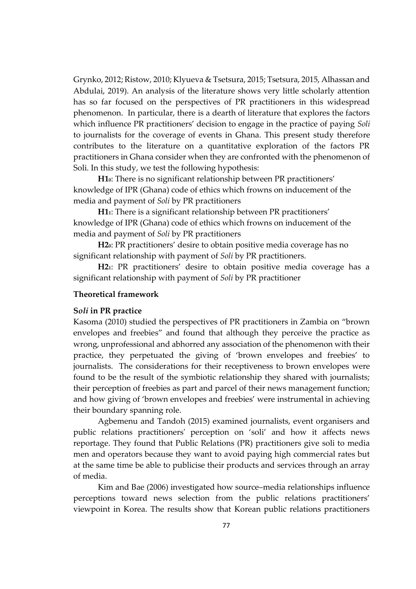Grynko, 2012; Ristow, 2010; Klyueva & Tsetsura, 2015; Tsetsura, 2015, Alhassan and Abdulai, 2019). An analysis of the literature shows very little scholarly attention has so far focused on the perspectives of PR practitioners in this widespread phenomenon. In particular, there is a dearth of literature that explores the factors which influence PR practitioners' decision to engage in the practice of paying *Soli* to journalists for the coverage of events in Ghana. This present study therefore contributes to the literature on a quantitative exploration of the factors PR practitioners in Ghana consider when they are confronted with the phenomenon of Soli. In this study, we test the following hypothesis:

**H10**: There is no significant relationship between PR practitioners' knowledge of IPR (Ghana) code of ethics which frowns on inducement of the media and payment of *Soli* by PR practitioners

**H11**: There is a significant relationship between PR practitioners' knowledge of IPR (Ghana) code of ethics which frowns on inducement of the media and payment of *Soli* by PR practitioners

**H20**: PR practitioners' desire to obtain positive media coverage has no significant relationship with payment of *Soli* by PR practitioners.

**H21**: PR practitioners' desire to obtain positive media coverage has a significant relationship with payment of *Soli* by PR practitioner

## **Theoretical framework**

## **S***oli* **in PR practice**

Kasoma (2010) studied the perspectives of PR practitioners in Zambia on "brown envelopes and freebies" and found that although they perceive the practice as wrong, unprofessional and abhorred any association of the phenomenon with their practice, they perpetuated the giving of 'brown envelopes and freebies' to journalists. The considerations for their receptiveness to brown envelopes were found to be the result of the symbiotic relationship they shared with journalists; their perception of freebies as part and parcel of their news management function; and how giving of 'brown envelopes and freebies' were instrumental in achieving their boundary spanning role.

Agbemenu and Tandoh (2015) examined journalists, event organisers and public relations practitioners' perception on 'soli' and how it affects news reportage. They found that Public Relations (PR) practitioners give soli to media men and operators because they want to avoid paying high commercial rates but at the same time be able to publicise their products and services through an array of media.

Kim and Bae (2006) investigated how source–media relationships influence perceptions toward news selection from the public relations practitioners' viewpoint in Korea. The results show that Korean public relations practitioners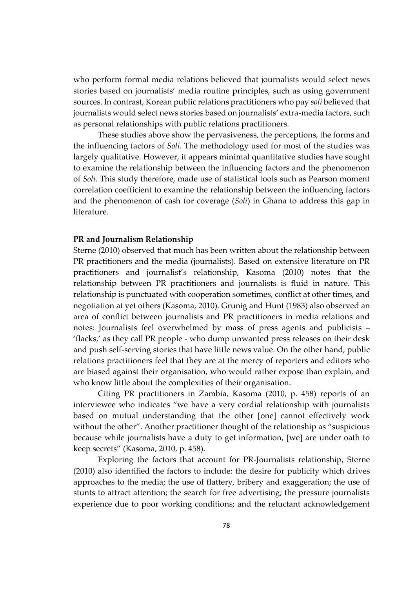who perform formal media relations believed that journalists would select news stories based on journalists' media routine principles, such as using government sources. In contrast, Korean public relations practitioners who pay *soli* believed that journalists would select news stories based on journalists' extra-media factors, such as personal relationships with public relations practitioners.

These studies above show the pervasiveness, the perceptions, the forms and the influencing factors of *Soli*. The methodology used for most of the studies was largely qualitative. However, it appears minimal quantitative studies have sought to examine the relationship between the influencing factors and the phenomenon of *Soli*. This study therefore, made use of statistical tools such as Pearson moment correlation coefficient to examine the relationship between the influencing factors and the phenomenon of cash for coverage (*Soli*) in Ghana to address this gap in literature.

#### **PR and Journalism Relationship**

Sterne (2010) observed that much has been written about the relationship between PR practitioners and the media (journalists). Based on extensive literature on PR practitioners and journalist's relationship, Kasoma (2010) notes that the relationship between PR practitioners and journalists is fluid in nature. This relationship is punctuated with cooperation sometimes, conflict at other times, and negotiation at yet others (Kasoma, 2010). Grunig and Hunt (1983) also observed an area of conflict between journalists and PR practitioners in media relations and notes: Journalists feel overwhelmed by mass of press agents and publicists – 'flacks,' as they call PR people - who dump unwanted press releases on their desk and push self-serving stories that have little news value. On the other hand, public relations practitioners feel that they are at the mercy of reporters and editors who are biased against their organisation, who would rather expose than explain, and who know little about the complexities of their organisation.

Citing PR practitioners in Zambia, Kasoma (2010, p. 458) reports of an interviewee who indicates "we have a very cordial relationship with journalists based on mutual understanding that the other [one] cannot effectively work without the other". Another practitioner thought of the relationship as "suspicious because while journalists have a duty to get information, [we] are under oath to keep secrets" (Kasoma, 2010, p. 458).

Exploring the factors that account for PR-Journalists relationship, Sterne (2010) also identified the factors to include: the desire for publicity which drives approaches to the media; the use of flattery, bribery and exaggeration; the use of stunts to attract attention; the search for free advertising; the pressure journalists experience due to poor working conditions; and the reluctant acknowledgement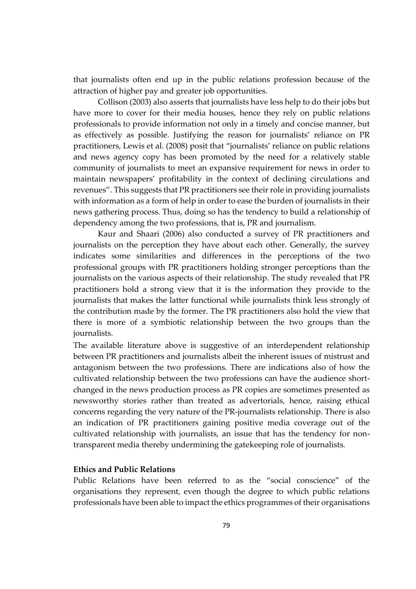that journalists often end up in the public relations profession because of the attraction of higher pay and greater job opportunities.

Collison (2003) also asserts that journalists have less help to do their jobs but have more to cover for their media houses, hence they rely on public relations professionals to provide information not only in a timely and concise manner, but as effectively as possible. Justifying the reason for journalists' reliance on PR practitioners, Lewis et al. (2008) posit that "journalists' reliance on public relations and news agency copy has been promoted by the need for a relatively stable community of journalists to meet an expansive requirement for news in order to maintain newspapers' profitability in the context of declining circulations and revenues". This suggests that PR practitioners see their role in providing journalists with information as a form of help in order to ease the burden of journalists in their news gathering process. Thus, doing so has the tendency to build a relationship of dependency among the two professions, that is, PR and journalism.

Kaur and Shaari (2006) also conducted a survey of PR practitioners and journalists on the perception they have about each other. Generally, the survey indicates some similarities and differences in the perceptions of the two professional groups with PR practitioners holding stronger perceptions than the journalists on the various aspects of their relationship. The study revealed that PR practitioners hold a strong view that it is the information they provide to the journalists that makes the latter functional while journalists think less strongly of the contribution made by the former. The PR practitioners also hold the view that there is more of a symbiotic relationship between the two groups than the journalists.

The available literature above is suggestive of an interdependent relationship between PR practitioners and journalists albeit the inherent issues of mistrust and antagonism between the two professions. There are indications also of how the cultivated relationship between the two professions can have the audience shortchanged in the news production process as PR copies are sometimes presented as newsworthy stories rather than treated as advertorials, hence, raising ethical concerns regarding the very nature of the PR-journalists relationship. There is also an indication of PR practitioners gaining positive media coverage out of the cultivated relationship with journalists, an issue that has the tendency for nontransparent media thereby undermining the gatekeeping role of journalists.

## **Ethics and Public Relations**

Public Relations have been referred to as the "social conscience" of the organisations they represent, even though the degree to which public relations professionals have been able to impact the ethics programmes of their organisations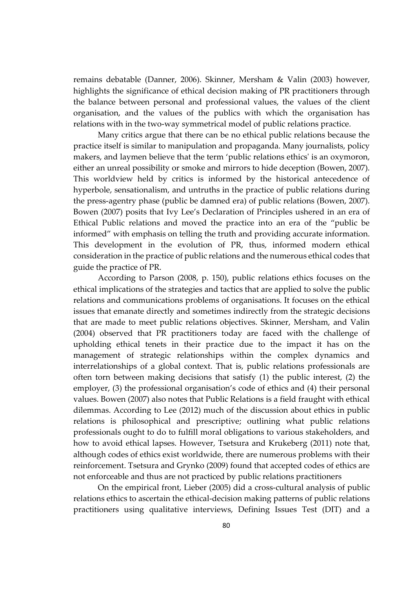remains debatable (Danner, 2006). Skinner, Mersham & Valin (2003) however, highlights the significance of ethical decision making of PR practitioners through the balance between personal and professional values, the values of the client organisation, and the values of the publics with which the organisation has relations with in the two-way symmetrical model of public relations practice.

Many critics argue that there can be no ethical public relations because the practice itself is similar to manipulation and propaganda. Many journalists, policy makers, and laymen believe that the term 'public relations ethics' is an oxymoron, either an unreal possibility or smoke and mirrors to hide deception (Bowen, 2007). This worldview held by critics is informed by the historical antecedence of hyperbole, sensationalism, and untruths in the practice of public relations during the press-agentry phase (public be damned era) of public relations (Bowen, 2007). Bowen (2007) posits that Ivy Lee's Declaration of Principles ushered in an era of Ethical Public relations and moved the practice into an era of the "public be informed" with emphasis on telling the truth and providing accurate information. This development in the evolution of PR, thus, informed modern ethical consideration in the practice of public relations and the numerous ethical codes that guide the practice of PR.

According to Parson (2008, p. 150), public relations ethics focuses on the ethical implications of the strategies and tactics that are applied to solve the public relations and communications problems of organisations. It focuses on the ethical issues that emanate directly and sometimes indirectly from the strategic decisions that are made to meet public relations objectives. Skinner, Mersham, and Valin (2004) observed that PR practitioners today are faced with the challenge of upholding ethical tenets in their practice due to the impact it has on the management of strategic relationships within the complex dynamics and interrelationships of a global context. That is, public relations professionals are often torn between making decisions that satisfy (1) the public interest, (2) the employer, (3) the professional organisation's code of ethics and (4) their personal values. Bowen (2007) also notes that Public Relations is a field fraught with ethical dilemmas. According to Lee (2012) much of the discussion about ethics in public relations is philosophical and prescriptive; outlining what public relations professionals ought to do to fulfill moral obligations to various stakeholders, and how to avoid ethical lapses. However, Tsetsura and Krukeberg (2011) note that, although codes of ethics exist worldwide, there are numerous problems with their reinforcement. Tsetsura and Grynko (2009) found that accepted codes of ethics are not enforceable and thus are not practiced by public relations practitioners

On the empirical front, Lieber (2005) did a cross-cultural analysis of public relations ethics to ascertain the ethical-decision making patterns of public relations practitioners using qualitative interviews, Defining Issues Test (DIT) and a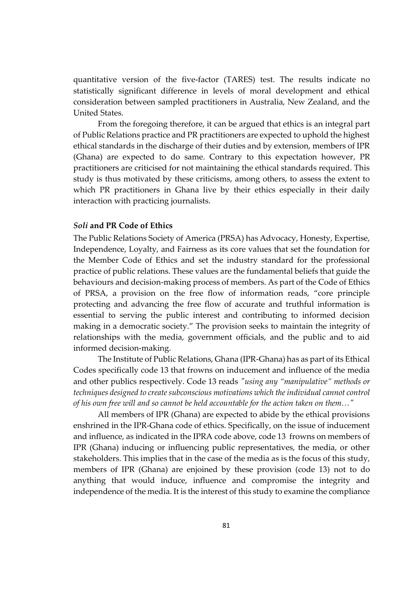quantitative version of the five-factor (TARES) test. The results indicate no statistically significant difference in levels of moral development and ethical consideration between sampled practitioners in Australia, New Zealand, and the United States.

From the foregoing therefore, it can be argued that ethics is an integral part of Public Relations practice and PR practitioners are expected to uphold the highest ethical standards in the discharge of their duties and by extension, members of IPR (Ghana) are expected to do same. Contrary to this expectation however, PR practitioners are criticised for not maintaining the ethical standards required. This study is thus motivated by these criticisms, among others, to assess the extent to which PR practitioners in Ghana live by their ethics especially in their daily interaction with practicing journalists.

## *Soli* **and PR Code of Ethics**

The Public Relations Society of America (PRSA) has Advocacy, Honesty, Expertise, Independence, Loyalty, and Fairness as its core values that set the foundation for the Member Code of Ethics and set the industry standard for the professional practice of public relations. These values are the fundamental beliefs that guide the behaviours and decision-making process of members. As part of the Code of Ethics of PRSA, a provision on the free flow of information reads, "core principle protecting and advancing the free flow of accurate and truthful information is essential to serving the public interest and contributing to informed decision making in a democratic society." The provision seeks to maintain the integrity of relationships with the media, government officials, and the public and to aid informed decision-making.

The Institute of Public Relations, Ghana (IPR-Ghana) has as part of its Ethical Codes specifically code 13 that frowns on inducement and influence of the media and other publics respectively. Code 13 reads *"using any "manipulative" methods or techniques designed to create subconscious motivations which the individual cannot control of his own free will and so cannot be held accountable for the action taken on them…"* 

All members of IPR (Ghana) are expected to abide by the ethical provisions enshrined in the IPR-Ghana code of ethics. Specifically, on the issue of inducement and influence, as indicated in the IPRA code above, code 13 frowns on members of IPR (Ghana) inducing or influencing public representatives, the media, or other stakeholders. This implies that in the case of the media as is the focus of this study, members of IPR (Ghana) are enjoined by these provision (code 13) not to do anything that would induce, influence and compromise the integrity and independence of the media. It is the interest of this study to examine the compliance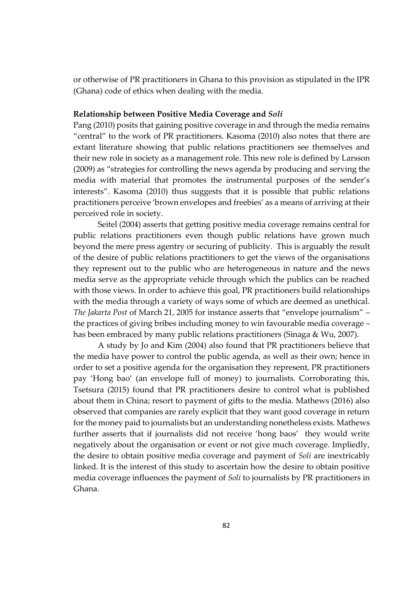or otherwise of PR practitioners in Ghana to this provision as stipulated in the IPR (Ghana) code of ethics when dealing with the media.

## **Relationship between Positive Media Coverage and** *Soli*

Pang (2010) posits that gaining positive coverage in and through the media remains "central" to the work of PR practitioners. Kasoma (2010) also notes that there are extant literature showing that public relations practitioners see themselves and their new role in society as a management role. This new role is defined by Larsson (2009) as "strategies for controlling the news agenda by producing and serving the media with material that promotes the instrumental purposes of the sender's interests". Kasoma (2010) thus suggests that it is possible that public relations practitioners perceive 'brown envelopes and freebies' as a means of arriving at their perceived role in society.

Seitel (2004) asserts that getting positive media coverage remains central for public relations practitioners even though public relations have grown much beyond the mere press agentry or securing of publicity. This is arguably the result of the desire of public relations practitioners to get the views of the organisations they represent out to the public who are heterogeneous in nature and the news media serve as the appropriate vehicle through which the publics can be reached with those views. In order to achieve this goal, PR practitioners build relationships with the media through a variety of ways some of which are deemed as unethical. *The Jakarta Post* of March 21, 2005 for instance asserts that "envelope journalism" – the practices of giving bribes including money to win favourable media coverage – has been embraced by many public relations practitioners (Sinaga & Wu, 2007).

A study by Jo and Kim (2004) also found that PR practitioners believe that the media have power to control the public agenda, as well as their own; hence in order to set a positive agenda for the organisation they represent, PR practitioners pay 'Hong bao' (an envelope full of money) to journalists. Corroborating this, Tsetsura (2015) found that PR practitioners desire to control what is published about them in China; resort to payment of gifts to the media. Mathews (2016) also observed that companies are rarely explicit that they want good coverage in return for the money paid to journalists but an understanding nonetheless exists. Mathews further asserts that if journalists did not receive 'hong baos' they would write negatively about the organisation or event or not give much coverage. Impliedly, the desire to obtain positive media coverage and payment of *Soli* are inextricably linked. It is the interest of this study to ascertain how the desire to obtain positive media coverage influences the payment of *Soli* to journalists by PR practitioners in Ghana.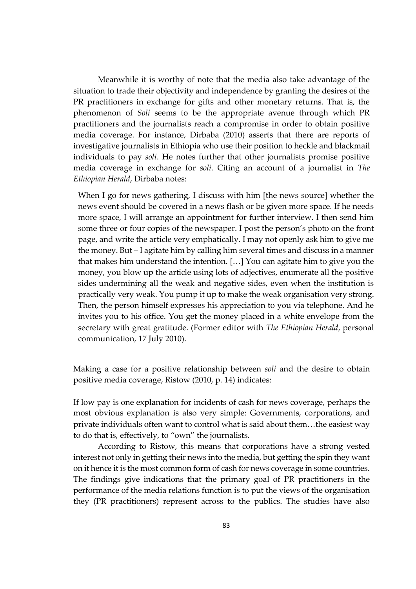Meanwhile it is worthy of note that the media also take advantage of the situation to trade their objectivity and independence by granting the desires of the PR practitioners in exchange for gifts and other monetary returns. That is, the phenomenon of *Soli* seems to be the appropriate avenue through which PR practitioners and the journalists reach a compromise in order to obtain positive media coverage. For instance, Dirbaba (2010) asserts that there are reports of investigative journalists in Ethiopia who use their position to heckle and blackmail individuals to pay *soli*. He notes further that other journalists promise positive media coverage in exchange for *soli*. Citing an account of a journalist in *The Ethiopian Herald*, Dirbaba notes:

When I go for news gathering, I discuss with him [the news source] whether the news event should be covered in a news flash or be given more space. If he needs more space, I will arrange an appointment for further interview. I then send him some three or four copies of the newspaper. I post the person's photo on the front page, and write the article very emphatically. I may not openly ask him to give me the money. But – I agitate him by calling him several times and discuss in a manner that makes him understand the intention. […] You can agitate him to give you the money, you blow up the article using lots of adjectives, enumerate all the positive sides undermining all the weak and negative sides, even when the institution is practically very weak. You pump it up to make the weak organisation very strong. Then, the person himself expresses his appreciation to you via telephone. And he invites you to his office. You get the money placed in a white envelope from the secretary with great gratitude. (Former editor with *The Ethiopian Herald*, personal communication, 17 July 2010).

Making a case for a positive relationship between *soli* and the desire to obtain positive media coverage, Ristow (2010, p. 14) indicates:

If low pay is one explanation for incidents of cash for news coverage, perhaps the most obvious explanation is also very simple: Governments, corporations, and private individuals often want to control what is said about them…the easiest way to do that is, effectively, to "own" the journalists.

According to Ristow, this means that corporations have a strong vested interest not only in getting their news into the media, but getting the spin they want on it hence it is the most common form of cash for news coverage in some countries. The findings give indications that the primary goal of PR practitioners in the performance of the media relations function is to put the views of the organisation they (PR practitioners) represent across to the publics. The studies have also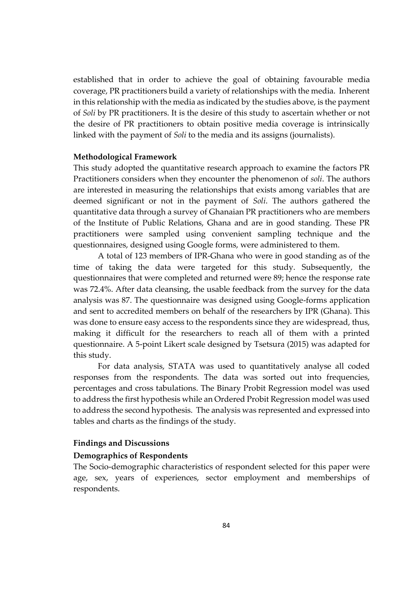established that in order to achieve the goal of obtaining favourable media coverage, PR practitioners build a variety of relationships with the media. Inherent in this relationship with the media as indicated by the studies above, is the payment of *Soli* by PR practitioners. It is the desire of this study to ascertain whether or not the desire of PR practitioners to obtain positive media coverage is intrinsically linked with the payment of *Soli* to the media and its assigns (journalists).

#### **Methodological Framework**

This study adopted the quantitative research approach to examine the factors PR Practitioners considers when they encounter the phenomenon of *soli*. The authors are interested in measuring the relationships that exists among variables that are deemed significant or not in the payment of *Soli*. The authors gathered the quantitative data through a survey of Ghanaian PR practitioners who are members of the Institute of Public Relations, Ghana and are in good standing. These PR practitioners were sampled using convenient sampling technique and the questionnaires, designed using Google forms, were administered to them.

A total of 123 members of IPR-Ghana who were in good standing as of the time of taking the data were targeted for this study. Subsequently, the questionnaires that were completed and returned were 89; hence the response rate was 72.4%. After data cleansing, the usable feedback from the survey for the data analysis was 87. The questionnaire was designed using Google-forms application and sent to accredited members on behalf of the researchers by IPR (Ghana). This was done to ensure easy access to the respondents since they are widespread, thus, making it difficult for the researchers to reach all of them with a printed questionnaire. A 5-point Likert scale designed by Tsetsura (2015) was adapted for this study.

For data analysis, STATA was used to quantitatively analyse all coded responses from the respondents. The data was sorted out into frequencies, percentages and cross tabulations. The Binary Probit Regression model was used to address the first hypothesis while an Ordered Probit Regression model was used to address the second hypothesis. The analysis was represented and expressed into tables and charts as the findings of the study.

#### **Findings and Discussions**

#### **Demographics of Respondents**

The Socio-demographic characteristics of respondent selected for this paper were age, sex, years of experiences, sector employment and memberships of respondents.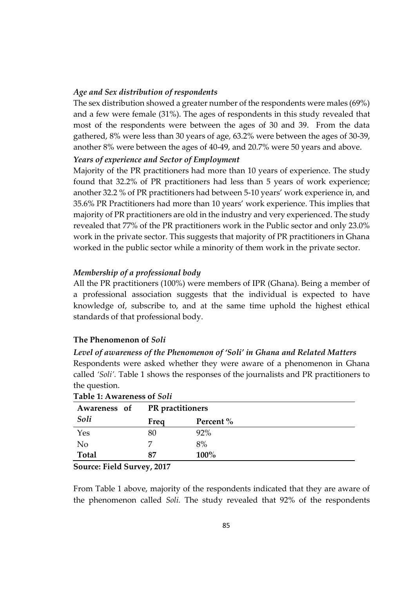## *Age and Sex distribution of respondents*

The sex distribution showed a greater number of the respondents were males (69%) and a few were female (31%). The ages of respondents in this study revealed that most of the respondents were between the ages of 30 and 39. From the data gathered, 8% were less than 30 years of age, 63.2% were between the ages of 30-39, another 8% were between the ages of 40-49, and 20.7% were 50 years and above.

## *Years of experience and Sector of Employment*

Majority of the PR practitioners had more than 10 years of experience. The study found that 32.2% of PR practitioners had less than 5 years of work experience; another 32.2 % of PR practitioners had between 5-10 years' work experience in, and 35.6% PR Practitioners had more than 10 years' work experience. This implies that majority of PR practitioners are old in the industry and very experienced. The study revealed that 77% of the PR practitioners work in the Public sector and only 23.0% work in the private sector. This suggests that majority of PR practitioners in Ghana worked in the public sector while a minority of them work in the private sector.

## *Membership of a professional body*

All the PR practitioners (100%) were members of IPR (Ghana). Being a member of a professional association suggests that the individual is expected to have knowledge of, subscribe to, and at the same time uphold the highest ethical standards of that professional body.

## **The Phenomenon of** *Soli*

## *Level of awareness of the Phenomenon of 'Soli' in Ghana and Related Matters*

Respondents were asked whether they were aware of a phenomenon in Ghana called *'Soli'.* Table 1 shows the responses of the journalists and PR practitioners to the question.

|       | Awareness of PR practitioners |           |
|-------|-------------------------------|-----------|
| Soli  | Freq                          | Percent % |
| Yes   | 80                            | 92%       |
| No    |                               | 8%        |
| Total | 87                            | 100%      |

|  |  | Table 1: Awareness of Soli |  |  |
|--|--|----------------------------|--|--|
|--|--|----------------------------|--|--|

#### **Source: Field Survey, 2017**

From Table 1 above, majority of the respondents indicated that they are aware of the phenomenon called *Soli.* The study revealed that 92% of the respondents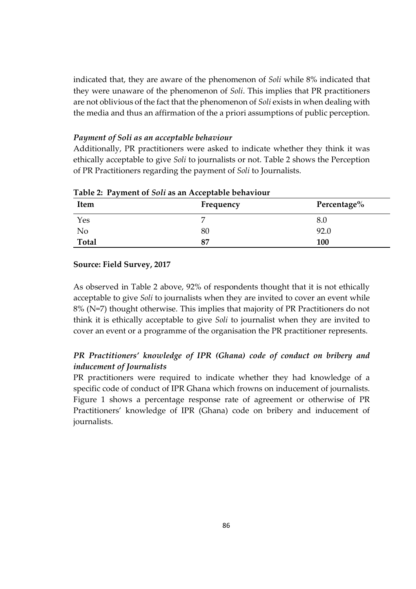indicated that, they are aware of the phenomenon of *Soli* while 8% indicated that they were unaware of the phenomenon of *Soli*. This implies that PR practitioners are not oblivious of the fact that the phenomenon of *Soli* exists in when dealing with the media and thus an affirmation of the a priori assumptions of public perception.

## *Payment of Soli as an acceptable behaviour*

Additionally, PR practitioners were asked to indicate whether they think it was ethically acceptable to give *Soli* to journalists or not. Table 2 shows the Perception of PR Practitioners regarding the payment of *Soli* to Journalists.

| <b>Item</b>  | Frequency | Percentage% |
|--------------|-----------|-------------|
| Yes          |           | 8.0         |
| No           | 80        | 92.0        |
| <b>Total</b> | 87        | 100         |

**Table 2: Payment of** *Soli* **as an Acceptable behaviour**

### **Source: Field Survey, 2017**

As observed in Table 2 above, 92% of respondents thought that it is not ethically acceptable to give *Soli* to journalists when they are invited to cover an event while 8% (N=7) thought otherwise. This implies that majority of PR Practitioners do not think it is ethically acceptable to give *Soli* to journalist when they are invited to cover an event or a programme of the organisation the PR practitioner represents.

## *PR Practitioners' knowledge of IPR (Ghana) code of conduct on bribery and inducement of Journalists*

PR practitioners were required to indicate whether they had knowledge of a specific code of conduct of IPR Ghana which frowns on inducement of journalists. Figure 1 shows a percentage response rate of agreement or otherwise of PR Practitioners' knowledge of IPR (Ghana) code on bribery and inducement of journalists.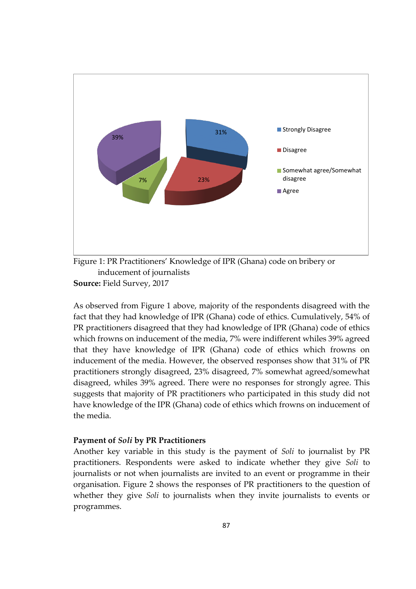

Figure 1: PR Practitioners' Knowledge of IPR (Ghana) code on bribery or inducement of journalists **Source:** Field Survey, 2017

As observed from Figure 1 above, majority of the respondents disagreed with the fact that they had knowledge of IPR (Ghana) code of ethics. Cumulatively, 54% of PR practitioners disagreed that they had knowledge of IPR (Ghana) code of ethics which frowns on inducement of the media, 7% were indifferent whiles 39% agreed that they have knowledge of IPR (Ghana) code of ethics which frowns on inducement of the media. However, the observed responses show that 31% of PR practitioners strongly disagreed, 23% disagreed, 7% somewhat agreed/somewhat disagreed, whiles 39% agreed. There were no responses for strongly agree. This suggests that majority of PR practitioners who participated in this study did not have knowledge of the IPR (Ghana) code of ethics which frowns on inducement of the media.

## **Payment of** *Soli* **by PR Practitioners**

Another key variable in this study is the payment of *Soli* to journalist by PR practitioners. Respondents were asked to indicate whether they give *Soli* to journalists or not when journalists are invited to an event or programme in their organisation. Figure 2 shows the responses of PR practitioners to the question of whether they give *Soli* to journalists when they invite journalists to events or programmes.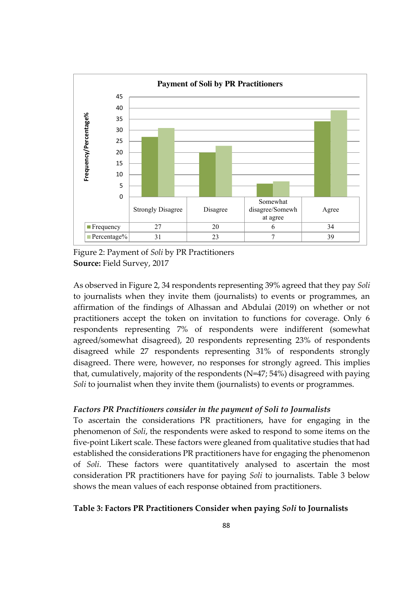

Figure 2: Payment of *Soli* by PR Practitioners **Source:** Field Survey, 2017

As observed in Figure 2, 34 respondents representing 39% agreed that they pay *Soli* to journalists when they invite them (journalists) to events or programmes, an affirmation of the findings of Alhassan and Abdulai (2019) on whether or not practitioners accept the token on invitation to functions for coverage. Only 6 respondents representing 7% of respondents were indifferent (somewhat agreed/somewhat disagreed), 20 respondents representing 23% of respondents disagreed while 27 respondents representing 31% of respondents strongly disagreed. There were, however, no responses for strongly agreed. This implies that, cumulatively, majority of the respondents (N=47; 54%) disagreed with paying *Soli* to journalist when they invite them (journalists) to events or programmes.

## *Factors PR Practitioners consider in the payment of Soli to Journalists*

To ascertain the considerations PR practitioners, have for engaging in the phenomenon of *Soli*, the respondents were asked to respond to some items on the five-point Likert scale. These factors were gleaned from qualitative studies that had established the considerations PR practitioners have for engaging the phenomenon of *Soli*. These factors were quantitatively analysed to ascertain the most consideration PR practitioners have for paying *Soli* to journalists. Table 3 below shows the mean values of each response obtained from practitioners.

## **Table 3: Factors PR Practitioners Consider when paying** *Soli* **to Journalists**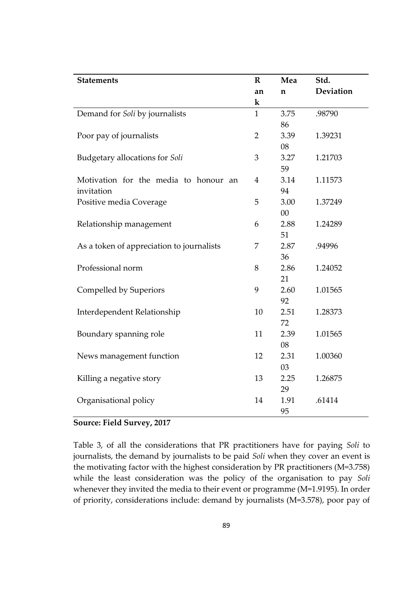| <b>Statements</b>                         | $\mathbf R$    | Mea  | Std.      |
|-------------------------------------------|----------------|------|-----------|
|                                           | an             | n    | Deviation |
|                                           | k              |      |           |
| Demand for Soli by journalists            | $\mathbf{1}$   | 3.75 | .98790    |
|                                           |                | 86   |           |
| Poor pay of journalists                   | $\overline{2}$ | 3.39 | 1.39231   |
|                                           |                | 08   |           |
| Budgetary allocations for Soli            | 3              | 3.27 | 1.21703   |
|                                           |                | 59   |           |
| Motivation for the media to honour an     | 4              | 3.14 | 1.11573   |
| invitation                                |                | 94   |           |
| Positive media Coverage                   | 5              | 3.00 | 1.37249   |
|                                           |                | 00   |           |
| Relationship management                   | 6              | 2.88 | 1.24289   |
|                                           |                | 51   |           |
| As a token of appreciation to journalists | 7              | 2.87 | .94996    |
|                                           |                | 36   |           |
| Professional norm                         | 8              | 2.86 | 1.24052   |
|                                           |                | 21   |           |
| Compelled by Superiors                    | 9              | 2.60 | 1.01565   |
|                                           |                | 92   |           |
| Interdependent Relationship               | 10             | 2.51 | 1.28373   |
|                                           |                | 72   |           |
| Boundary spanning role                    | 11             | 2.39 | 1.01565   |
|                                           |                | 08   |           |
| News management function                  | 12             | 2.31 | 1.00360   |
|                                           |                | 03   |           |
| Killing a negative story                  | 13             | 2.25 | 1.26875   |
|                                           |                | 29   |           |
| Organisational policy                     | 14             | 1.91 | .61414    |
|                                           |                | 95   |           |

## **Source: Field Survey, 2017**

Table 3, of all the considerations that PR practitioners have for paying *Soli* to journalists, the demand by journalists to be paid *Soli* when they cover an event is the motivating factor with the highest consideration by PR practitioners (M=3.758) while the least consideration was the policy of the organisation to pay *Soli* whenever they invited the media to their event or programme (M=1.9195). In order of priority, considerations include: demand by journalists (M=3.578), poor pay of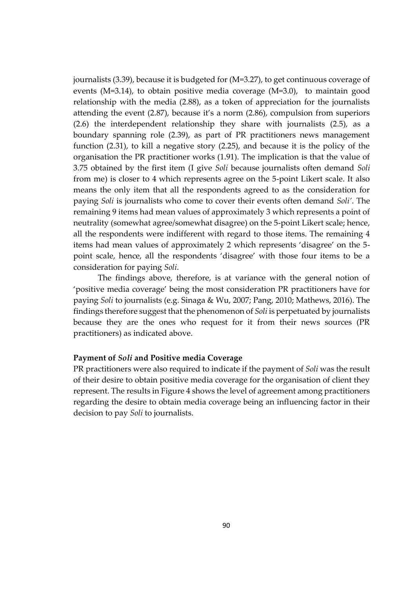journalists (3.39), because it is budgeted for (M=3.27), to get continuous coverage of events (M=3.14), to obtain positive media coverage (M=3.0), to maintain good relationship with the media (2.88), as a token of appreciation for the journalists attending the event (2.87), because it's a norm (2.86), compulsion from superiors (2.6) the interdependent relationship they share with journalists (2.5), as a boundary spanning role (2.39), as part of PR practitioners news management function (2.31), to kill a negative story (2.25), and because it is the policy of the organisation the PR practitioner works (1.91). The implication is that the value of 3.75 obtained by the first item (I give *Soli* because journalists often demand *Soli* from me) is closer to 4 which represents agree on the 5-point Likert scale. It also means the only item that all the respondents agreed to as the consideration for paying *Soli* is journalists who come to cover their events often demand *Soli'*. The remaining 9 items had mean values of approximately 3 which represents a point of neutrality (somewhat agree/somewhat disagree) on the 5-point Likert scale; hence, all the respondents were indifferent with regard to those items. The remaining 4 items had mean values of approximately 2 which represents 'disagree' on the 5 point scale, hence, all the respondents 'disagree' with those four items to be a consideration for paying *Soli*.

The findings above, therefore, is at variance with the general notion of 'positive media coverage' being the most consideration PR practitioners have for paying *Soli* to journalists (e.g. Sinaga & Wu, 2007; Pang, 2010; Mathews, 2016). The findings therefore suggest that the phenomenon of *Soli* is perpetuated by journalists because they are the ones who request for it from their news sources (PR practitioners) as indicated above.

#### **Payment of** *Soli* **and Positive media Coverage**

PR practitioners were also required to indicate if the payment of *Soli* was the result of their desire to obtain positive media coverage for the organisation of client they represent. The results in Figure 4 shows the level of agreement among practitioners regarding the desire to obtain media coverage being an influencing factor in their decision to pay *Soli* to journalists.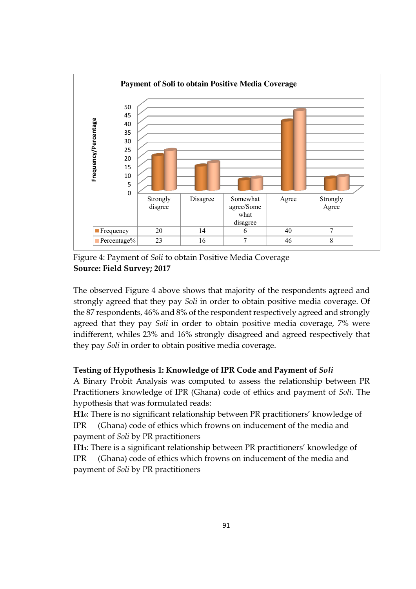

Figure 4: Payment of *Soli* to obtain Positive Media Coverage **Source: Field Survey; 2017**

The observed Figure 4 above shows that majority of the respondents agreed and strongly agreed that they pay *Soli* in order to obtain positive media coverage. Of the 87 respondents, 46% and 8% of the respondent respectively agreed and strongly agreed that they pay *Soli* in order to obtain positive media coverage, 7% were indifferent, whiles 23% and 16% strongly disagreed and agreed respectively that they pay *Soli* in order to obtain positive media coverage.

## **Testing of Hypothesis 1: Knowledge of IPR Code and Payment of** *Soli*

A Binary Probit Analysis was computed to assess the relationship between PR Practitioners knowledge of IPR (Ghana) code of ethics and payment of *Soli*. The hypothesis that was formulated reads:

**H10**: There is no significant relationship between PR practitioners' knowledge of IPR (Ghana) code of ethics which frowns on inducement of the media and payment of *Soli* by PR practitioners

**H11**: There is a significant relationship between PR practitioners' knowledge of IPR (Ghana) code of ethics which frowns on inducement of the media and payment of *Soli* by PR practitioners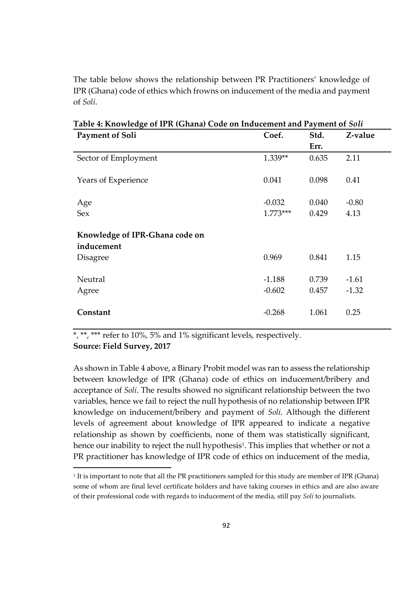The table below shows the relationship between PR Practitioners' knowledge of IPR (Ghana) code of ethics which frowns on inducement of the media and payment of *Soli*.

| U<br><b>Payment of Soli</b>                  | Coef.      | Std.  | Z-value |
|----------------------------------------------|------------|-------|---------|
|                                              |            | Err.  |         |
| Sector of Employment                         | 1.339**    | 0.635 | 2.11    |
| Years of Experience                          | 0.041      | 0.098 | 0.41    |
| Age                                          | $-0.032$   | 0.040 | $-0.80$ |
| Sex                                          | $1.773***$ | 0.429 | 4.13    |
| Knowledge of IPR-Ghana code on<br>inducement |            |       |         |
| <b>Disagree</b>                              | 0.969      | 0.841 | 1.15    |
| Neutral                                      | $-1.188$   | 0.739 | $-1.61$ |
| Agree                                        | $-0.602$   | 0.457 | $-1.32$ |
| Constant                                     | $-0.268$   | 1.061 | 0.25    |

**Table 4: Knowledge of IPR (Ghana) Code on Inducement and Payment of** *Soli*

\*, \*\*\* refer to 10%, 5% and 1% significant levels, respectively.

**Source: Field Survey, 2017**

-

As shown in Table 4 above, a Binary Probit model was ran to assess the relationship between knowledge of IPR (Ghana) code of ethics on inducement/bribery and acceptance of *Soli*. The results showed no significant relationship between the two variables, hence we fail to reject the null hypothesis of no relationship between IPR knowledge on inducement/bribery and payment of *Soli*. Although the different levels of agreement about knowledge of IPR appeared to indicate a negative relationship as shown by coefficients, none of them was statistically significant, hence our inability to reject the null hypothesis<sup>1</sup>. This implies that whether or not a PR practitioner has knowledge of IPR code of ethics on inducement of the media,

<sup>1</sup> It is important to note that all the PR practitioners sampled for this study are member of IPR (Ghana) some of whom are final level certificate holders and have taking courses in ethics and are also aware of their professional code with regards to inducement of the media, still pay *Soli* to journalists.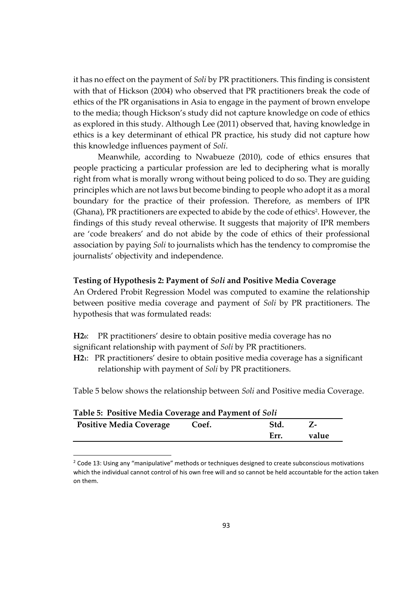it has no effect on the payment of *Soli* by PR practitioners. This finding is consistent with that of Hickson (2004) who observed that PR practitioners break the code of ethics of the PR organisations in Asia to engage in the payment of brown envelope to the media; though Hickson's study did not capture knowledge on code of ethics as explored in this study. Although Lee (2011) observed that, having knowledge in ethics is a key determinant of ethical PR practice, his study did not capture how this knowledge influences payment of *Soli*.

Meanwhile, according to Nwabueze (2010), code of ethics ensures that people practicing a particular profession are led to deciphering what is morally right from what is morally wrong without being policed to do so. They are guiding principles which are not laws but become binding to people who adopt it as a moral boundary for the practice of their profession. Therefore, as members of IPR (Ghana), PR practitioners are expected to abide by the code of ethics<sup>2</sup>. However, the findings of this study reveal otherwise. It suggests that majority of IPR members are 'code breakers' and do not abide by the code of ethics of their professional association by paying *Soli* to journalists which has the tendency to compromise the journalists' objectivity and independence.

## **Testing of Hypothesis 2: Payment of** *Soli* **and Positive Media Coverage**

An Ordered Probit Regression Model was computed to examine the relationship between positive media coverage and payment of *Soli* by PR practitioners. The hypothesis that was formulated reads:

**H20**: PR practitioners' desire to obtain positive media coverage has no significant relationship with payment of *Soli* by PR practitioners.

**H21**: PR practitioners' desire to obtain positive media coverage has a significant relationship with payment of *Soli* by PR practitioners.

Table 5 below shows the relationship between *Soli* and Positive media Coverage.

| Table 5: Positive Media Coverage and Payment of Soli |       |       |       |
|------------------------------------------------------|-------|-------|-------|
| <b>Positive Media Coverage</b>                       | Coef. | -Std. |       |
|                                                      |       | Err.  | value |
|                                                      |       |       |       |

 $2$  Code 13: Using any "manipulative" methods or techniques designed to create subconscious motivations which the individual cannot control of his own free will and so cannot be held accountable for the action taken on them.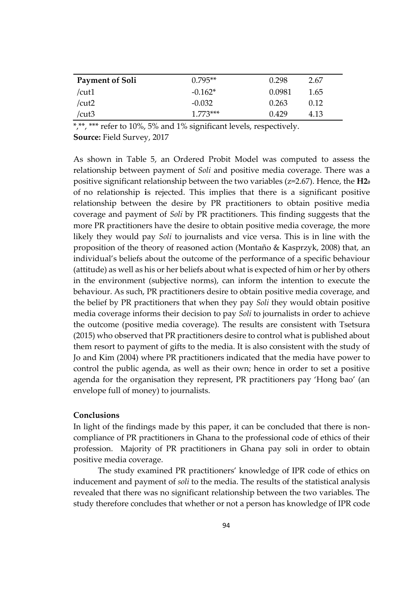| <b>Payment of Soli</b> | $0.795**$  | 0.298  | 2.67 |
|------------------------|------------|--------|------|
| /cut1                  | $-0.162*$  | 0.0981 | 1.65 |
| /cut2                  | $-0.032$   | 0.263  | 0.12 |
| /cut3                  | $1.773***$ | 0.429  | 4.13 |

\*,\*\*,\*\*\* refer to 10%, 5% and 1% significant levels, respectively.

**Source:** Field Survey, 2017

As shown in Table 5, an Ordered Probit Model was computed to assess the relationship between payment of *Soli* and positive media coverage. There was a positive significant relationship between the two variables (z=2.67). Hence, the **H20**  of no relationship **i**s rejected. This implies that there is a significant positive relationship between the desire by PR practitioners to obtain positive media coverage and payment of *Soli* by PR practitioners. This finding suggests that the more PR practitioners have the desire to obtain positive media coverage, the more likely they would pay *Soli* to journalists and vice versa. This is in line with the proposition of the theory of reasoned action (Montaño & Kasprzyk, 2008) that, an individual's beliefs about the outcome of the performance of a specific behaviour (attitude) as well as his or her beliefs about what is expected of him or her by others in the environment (subjective norms), can inform the intention to execute the behaviour. As such, PR practitioners desire to obtain positive media coverage, and the belief by PR practitioners that when they pay *Soli* they would obtain positive media coverage informs their decision to pay *Soli* to journalists in order to achieve the outcome (positive media coverage). The results are consistent with Tsetsura (2015) who observed that PR practitioners desire to control what is published about them resort to payment of gifts to the media. It is also consistent with the study of Jo and Kim (2004) where PR practitioners indicated that the media have power to control the public agenda, as well as their own; hence in order to set a positive agenda for the organisation they represent, PR practitioners pay 'Hong bao' (an envelope full of money) to journalists.

## **Conclusions**

In light of the findings made by this paper, it can be concluded that there is noncompliance of PR practitioners in Ghana to the professional code of ethics of their profession. Majority of PR practitioners in Ghana pay soli in order to obtain positive media coverage.

The study examined PR practitioners' knowledge of IPR code of ethics on inducement and payment of *soli* to the media. The results of the statistical analysis revealed that there was no significant relationship between the two variables. The study therefore concludes that whether or not a person has knowledge of IPR code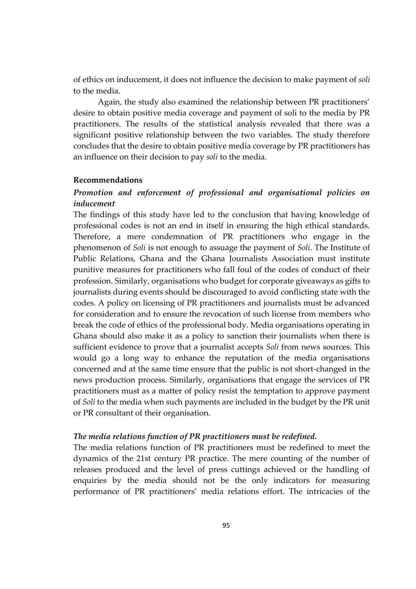of ethics on inducement, it does not influence the decision to make payment of *soli* to the media.

Again, the study also examined the relationship between PR practitioners' desire to obtain positive media coverage and payment of soli to the media by PR practitioners. The results of the statistical analysis revealed that there was a significant positive relationship between the two variables. The study therefore concludes that the desire to obtain positive media coverage by PR practitioners has an influence on their decision to pay *soli* to the media.

#### **Recommendations**

## *Promotion and enforcement of professional and organisational policies on inducement*

The findings of this study have led to the conclusion that having knowledge of professional codes is not an end in itself in ensuring the high ethical standards. Therefore, a mere condemnation of PR practitioners who engage in the phenomenon of *Soli* is not enough to assuage the payment of *Soli*. The Institute of Public Relations, Ghana and the Ghana Journalists Association must institute punitive measures for practitioners who fall foul of the codes of conduct of their profession. Similarly, organisations who budget for corporate giveaways as gifts to journalists during events should be discouraged to avoid conflicting state with the codes. A policy on licensing of PR practitioners and journalists must be advanced for consideration and to ensure the revocation of such license from members who break the code of ethics of the professional body. Media organisations operating in Ghana should also make it as a policy to sanction their journalists when there is sufficient evidence to prove that a journalist accepts *Soli* from news sources. This would go a long way to enhance the reputation of the media organisations concerned and at the same time ensure that the public is not short-changed in the news production process. Similarly, organisations that engage the services of PR practitioners must as a matter of policy resist the temptation to approve payment of *Soli* to the media when such payments are included in the budget by the PR unit or PR consultant of their organisation.

#### *The media relations function of PR practitioners must be redefined.*

The media relations function of PR practitioners must be redefined to meet the dynamics of the 21st century PR practice. The mere counting of the number of releases produced and the level of press cuttings achieved or the handling of enquiries by the media should not be the only indicators for measuring performance of PR practitioners' media relations effort. The intricacies of the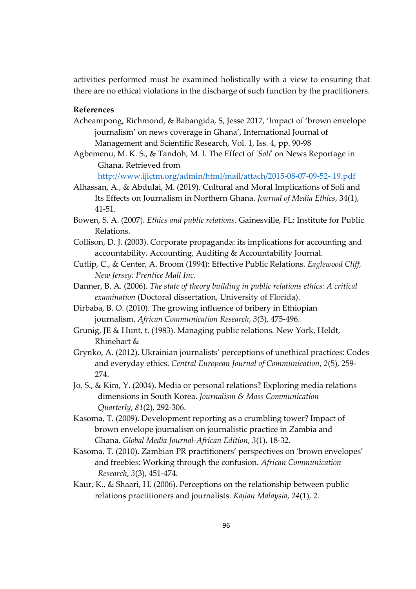activities performed must be examined holistically with a view to ensuring that there are no ethical violations in the discharge of such function by the practitioners.

## **References**

- Acheampong, Richmond, & Babangida, S, Jesse 2017, 'Impact of 'brown envelope journalism' on news coverage in Ghana', International Journal of Management and Scientific Research, Vol. 1, Iss. 4, pp. 90-98
- Agbemenu, M. K. S., & Tandoh, M. I. The Effect of '*Soli*' on News Reportage in Ghana. Retrieved from

http://www.ijictm.org/admin/html/mail/attach/2015-08-07-09-52- 19.pdf

- Alhassan, A., & Abdulai, M. (2019). Cultural and Moral Implications of Soli and Its Effects on Journalism in Northern Ghana. *Journal of Media Ethics*, 34(1), 41-51.
- Bowen, S. A. (2007). *Ethics and public relations*. Gainesville, FL: Institute for Public Relations.
- Collison, D. J. (2003). Corporate propaganda: its implications for accounting and accountability. Accounting, Auditing & Accountability Journal.
- Cutlip, C., & Center, A. Broom (1994): Effective Public Relations. *Eaglewood Cliff, New Jersey: Prentice Mall Inc*.
- Danner, B. A. (2006). *The state of theory building in public relations ethics: A critical examination* (Doctoral dissertation, University of Florida).
- Dirbaba, B. O. (2010). The growing influence of bribery in Ethiopian journalism. *African Communication Research*, *3*(3), 475-496.
- Grunig, JE & Hunt, t. (1983). Managing public relations. New York, Heldt, Rhinehart &
- Grynko, A. (2012). Ukrainian journalists' perceptions of unethical practices: Codes and everyday ethics. *Central European Journal of Communication*, *2*(5), 259- 274.
- Jo, S., & Kim, Y. (2004). Media or personal relations? Exploring media relations dimensions in South Korea. *Journalism & Mass Communication Quarterly*, *81*(2), 292-306.
- Kasoma, T. (2009). Development reporting as a crumbling tower? Impact of brown envelope journalism on journalistic practice in Zambia and Ghana. *Global Media Journal-African Edition*, *3*(1), 18-32.
- Kasoma, T. (2010). Zambian PR practitioners' perspectives on 'brown envelopes' and freebies: Working through the confusion. *African Communication Research*, *3*(3), 451-474.
- Kaur, K., & Shaari, H. (2006). Perceptions on the relationship between public relations practitioners and journalists. *Kajian Malaysia*, *24*(1), 2.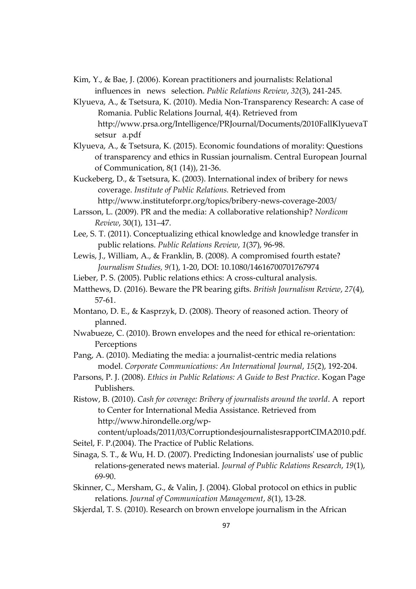- Kim, Y., & Bae, J. (2006). Korean practitioners and journalists: Relational influences in news selection. *Public Relations Review*, *32*(3), 241-245.
- Klyueva, A., & Tsetsura, K. (2010). Media Non-Transparency Research: A case of Romania. Public Relations Journal, 4(4). Retrieved from http://www.prsa.org/Intelligence/PRJournal/Documents/2010FallKlyuevaT setsur a.pdf
- Klyueva, A., & Tsetsura, K. (2015). Economic foundations of morality: Questions of transparency and ethics in Russian journalism. Central European Journal of Communication, 8(1 (14)), 21-36.
- Kuckeberg, D., & Tsetsura, K. (2003). International index of bribery for news coverage. *Institute of Public Relations.* Retrieved from http://www.instituteforpr.org/topics/bribery-news-coverage-2003/
- Larsson, L. (2009). PR and the media: A collaborative relationship? *Nordicom Review*, 30(1), 131–47.
- Lee, S. T. (2011). Conceptualizing ethical knowledge and knowledge transfer in public relations. *Public Relations Review*, *1*(37), 96-98.
- Lewis, J., William, A., & Franklin, B. (2008). A compromised fourth estate? *Journalism Studies, 9(*1), 1-20, DOI: 10.1080/14616700701767974
- Lieber, P. S. (2005). Public relations ethics: A cross-cultural analysis.
- Matthews, D. (2016). Beware the PR bearing gifts. *British Journalism Review*, *27*(4), 57-61.
- Montano, D. E., & Kasprzyk, D. (2008). Theory of reasoned action. Theory of planned.
- Nwabueze, C. (2010). Brown envelopes and the need for ethical re-orientation: Perceptions
- Pang, A. (2010). Mediating the media: a journalist-centric media relations model. *Corporate Communications: An International Journal*, *15*(2), 192-204.
- Parsons, P. J. (2008). *Ethics in Public Relations: A Guide to Best Practice*. Kogan Page Publishers.
- Ristow, B. (2010). *Cash for coverage: Bribery of journalists around the world*. A report to Center for International Media Assistance. Retrieved from http://www.hirondelle.org/wp-

content/uploads/2011/03/CorruptiondesjournalistesrapportCIMA2010.pdf. Seitel, F. P.(2004). The Practice of Public Relations.

- Sinaga, S. T., & Wu, H. D. (2007). Predicting Indonesian journalists' use of public relations-generated news material. *Journal of Public Relations Research*, *19*(1), 69-90.
- Skinner, C., Mersham, G., & Valin, J. (2004). Global protocol on ethics in public relations. *Journal of Communication Management*, *8*(1), 13-28.
- Skjerdal, T. S. (2010). Research on brown envelope journalism in the African